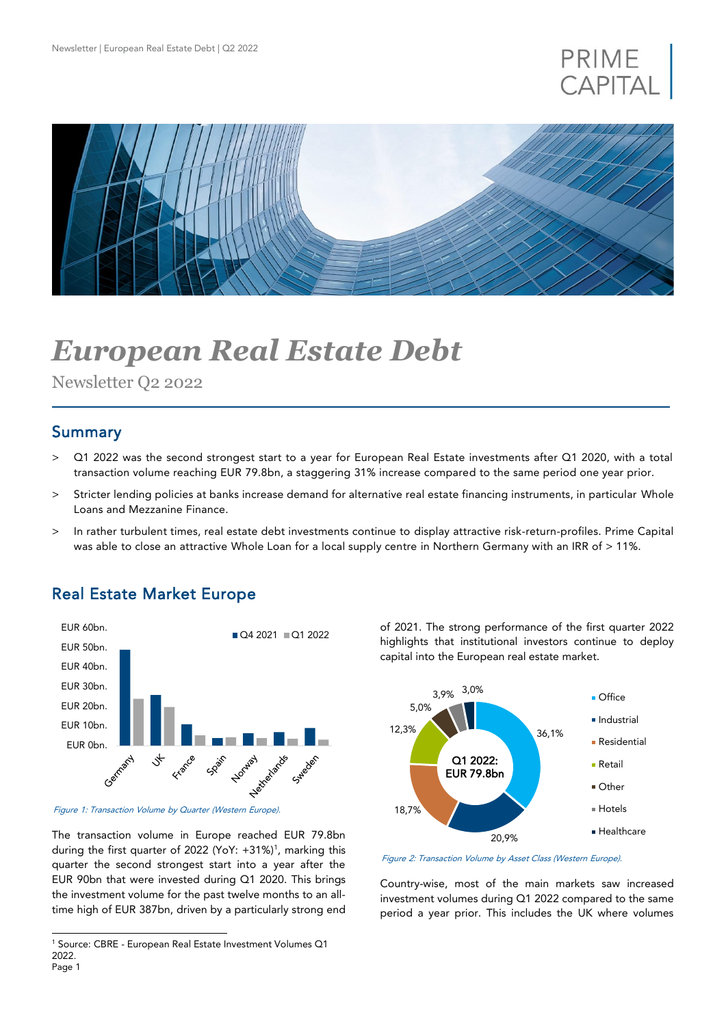## PRIME **CAPITAI**



# *European Real Estate Debt*

Newsletter Q2 2022

#### Summary

j

- > Q1 2022 was the second strongest start to a year for European Real Estate investments after Q1 2020, with a total transaction volume reaching EUR 79.8bn, a staggering 31% increase compared to the same period one year prior.
- > Stricter lending policies at banks increase demand for alternative real estate financing instruments, in particular Whole Loans and Mezzanine Finance.
- > In rather turbulent times, real estate debt investments continue to display attractive risk-return-profiles. Prime Capital was able to close an attractive Whole Loan for a local supply centre in Northern Germany with an IRR of > 11%.

## Real Estate Market Europe



Figure 1: Transaction Volume by Quarter (Western Europe).

The transaction volume in Europe reached EUR 79.8bn during the first quarter of 2022 (YoY: +31%)<sup>1</sup>, marking this quarter the second strongest start into a year after the EUR 90bn that were invested during Q1 2020. This brings the investment volume for the past twelve months to an alltime high of EUR 387bn, driven by a particularly strong end of 2021. The strong performance of the first quarter 2022 highlights that institutional investors continue to deploy capital into the European real estate market.



Figure 2: Transaction Volume by Asset Class (Western Europe).

Country-wise, most of the main markets saw increased investment volumes during Q1 2022 compared to the same period a year prior. This includes the UK where volumes

Page 1 <sup>1</sup> Source: CBRE - European Real Estate Investment Volumes Q1 2022.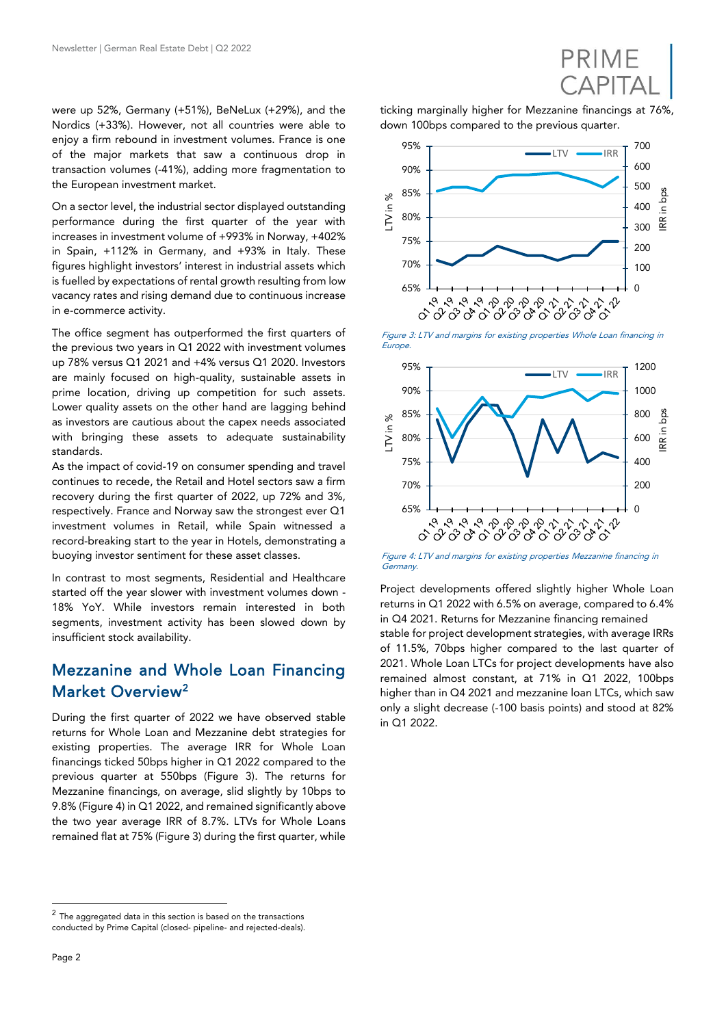were up 52%, Germany (+51%), BeNeLux (+29%), and the Nordics (+33%). However, not all countries were able to enjoy a firm rebound in investment volumes. France is one of the major markets that saw a continuous drop in transaction volumes (-41%), adding more fragmentation to the European investment market.

On a sector level, the industrial sector displayed outstanding performance during the first quarter of the year with increases in investment volume of +993% in Norway, +402% in Spain, +112% in Germany, and +93% in Italy. These figures highlight investors' interest in industrial assets which is fuelled by expectations of rental growth resulting from low vacancy rates and rising demand due to continuous increase in e-commerce activity.

The office segment has outperformed the first quarters of the previous two years in Q1 2022 with investment volumes up 78% versus Q1 2021 and +4% versus Q1 2020. Investors are mainly focused on high-quality, sustainable assets in prime location, driving up competition for such assets. Lower quality assets on the other hand are lagging behind as investors are cautious about the capex needs associated with bringing these assets to adequate sustainability standards.

As the impact of covid-19 on consumer spending and travel continues to recede, the Retail and Hotel sectors saw a firm recovery during the first quarter of 2022, up 72% and 3%, respectively. France and Norway saw the strongest ever Q1 investment volumes in Retail, while Spain witnessed a record-breaking start to the year in Hotels, demonstrating a buoying investor sentiment for these asset classes.

In contrast to most segments, Residential and Healthcare started off the year slower with investment volumes down - 18% YoY. While investors remain interested in both segments, investment activity has been slowed down by insufficient stock availability.

#### Mezzanine and Whole Loan Financing Market Overview<sup>2</sup>

During the first quarter of 2022 we have observed stable returns for Whole Loan and Mezzanine debt strategies for existing properties. The average IRR for Whole Loan financings ticked 50bps higher in Q1 2022 compared to the previous quarter at 550bps (Figure 3). The returns for Mezzanine financings, on average, slid slightly by 10bps to 9.8% (Figure 4) in Q1 2022, and remained significantly above the two year average IRR of 8.7%. LTVs for Whole Loans remained flat at 75% (Figure 3) during the first quarter, while

PRIME **CAPITA** 

ticking marginally higher for Mezzanine financings at 76%, down 100bps compared to the previous quarter.



Figure 3: LTV and margins for existing properties Whole Loan financing in Europe.



Figure 4: LTV and margins for existing properties Mezzanine financing in Germany.

Project developments offered slightly higher Whole Loan returns in Q1 2022 with 6.5% on average, compared to 6.4% in Q4 2021. Returns for Mezzanine financing remained stable for project development strategies, with average IRRs of 11.5%, 70bps higher compared to the last quarter of 2021. Whole Loan LTCs for project developments have also remained almost constant, at 71% in Q1 2022, 100bps higher than in Q4 2021 and mezzanine loan LTCs, which saw only a slight decrease (-100 basis points) and stood at 82% in Q1 2022.

l

Page 2

 $^2$  The aggregated data in this section is based on the transactions conducted by Prime Capital (closed- pipeline- and rejected-deals).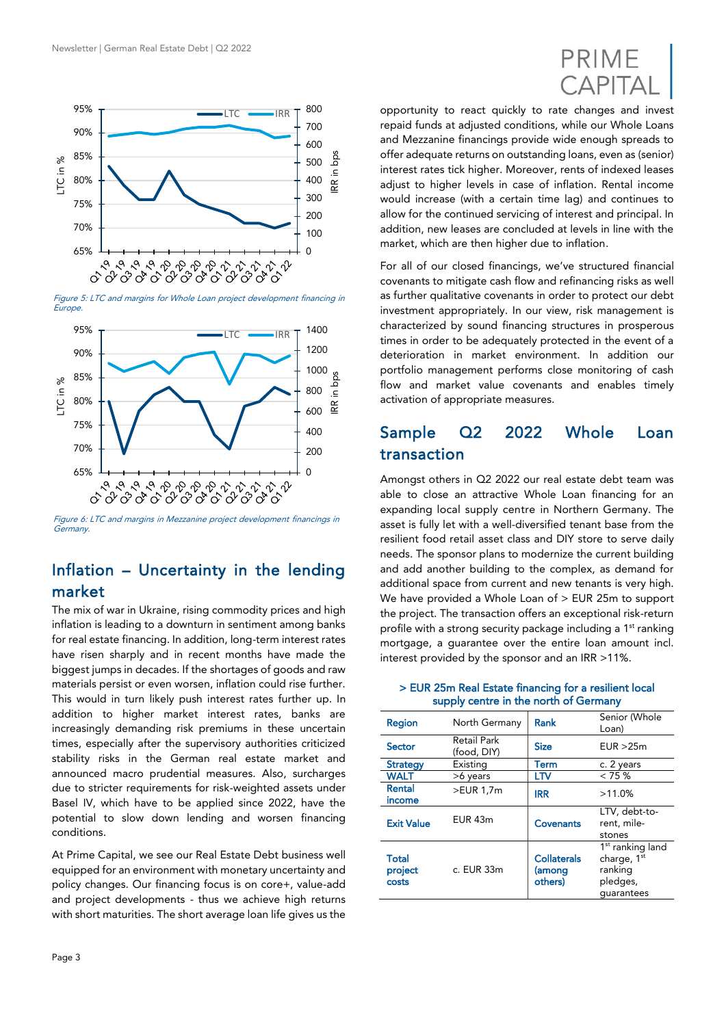

Figure 5: LTC and margins for Whole Loan project development financing in **Europe** 



Figure 6: LTC and margins in Mezzanine project development financings in **Germany** 

#### Inflation – Uncertainty in the lending market

The mix of war in Ukraine, rising commodity prices and high inflation is leading to a downturn in sentiment among banks for real estate financing. In addition, long-term interest rates have risen sharply and in recent months have made the biggest jumps in decades. If the shortages of goods and raw materials persist or even worsen, inflation could rise further. This would in turn likely push interest rates further up. In addition to higher market interest rates, banks are increasingly demanding risk premiums in these uncertain times, especially after the supervisory authorities criticized stability risks in the German real estate market and announced macro prudential measures. Also, surcharges due to stricter requirements for risk-weighted assets under Basel IV, which have to be applied since 2022, have the potential to slow down lending and worsen financing conditions.

At Prime Capital, we see our Real Estate Debt business well equipped for an environment with monetary uncertainty and policy changes. Our financing focus is on core+, value-add and project developments - thus we achieve high returns with short maturities. The short average loan life gives us the



opportunity to react quickly to rate changes and invest repaid funds at adjusted conditions, while our Whole Loans and Mezzanine financings provide wide enough spreads to offer adequate returns on outstanding loans, even as (senior) interest rates tick higher. Moreover, rents of indexed leases adjust to higher levels in case of inflation. Rental income would increase (with a certain time lag) and continues to allow for the continued servicing of interest and principal. In addition, new leases are concluded at levels in line with the market, which are then higher due to inflation.

For all of our closed financings, we've structured financial covenants to mitigate cash flow and refinancing risks as well as further qualitative covenants in order to protect our debt investment appropriately. In our view, risk management is characterized by sound financing structures in prosperous times in order to be adequately protected in the event of a deterioration in market environment. In addition our portfolio management performs close monitoring of cash flow and market value covenants and enables timely activation of appropriate measures.

### Sample Q2 2022 Whole Loan transaction

Amongst others in Q2 2022 our real estate debt team was able to close an attractive Whole Loan financing for an expanding local supply centre in Northern Germany. The asset is fully let with a well-diversified tenant base from the resilient food retail asset class and DIY store to serve daily needs. The sponsor plans to modernize the current building and add another building to the complex, as demand for additional space from current and new tenants is very high. We have provided a Whole Loan of  $>$  EUR 25m to support the project. The transaction offers an exceptional risk-return profile with a strong security package including a 1<sup>st</sup> ranking mortgage, a guarantee over the entire loan amount incl. interest provided by the sponsor and an IRR >11%.

> EUR 25m Real Estate financing for a resilient local supply centre in the north of Germany

| Region                           | North Germany                     | Rank                                    | Senior (Whole<br>Loan)                                                                       |
|----------------------------------|-----------------------------------|-----------------------------------------|----------------------------------------------------------------------------------------------|
| <b>Sector</b>                    | <b>Retail Park</b><br>(food, DIY) | <b>Size</b>                             | EUR > 25m                                                                                    |
| <b>Strategy</b>                  | Existing                          | Term                                    | c. 2 years                                                                                   |
| <b>WALT</b>                      | >6 years                          | ĽTV                                     | $< 75 \%$                                                                                    |
| Rental<br>income                 | >EUR 1,7m                         | <b>IRR</b>                              | $>11.0\%$                                                                                    |
| <b>Exit Value</b>                | EUR 43m                           | <b>Covenants</b>                        | LTV, debt-to-<br>rent, mile-<br>stones                                                       |
| <b>Total</b><br>project<br>costs | c. EUR 33m                        | <b>Collaterals</b><br>(among<br>others) | 1 <sup>st</sup> ranking land<br>charge, 1 <sup>st</sup><br>ranking<br>pledges,<br>quarantees |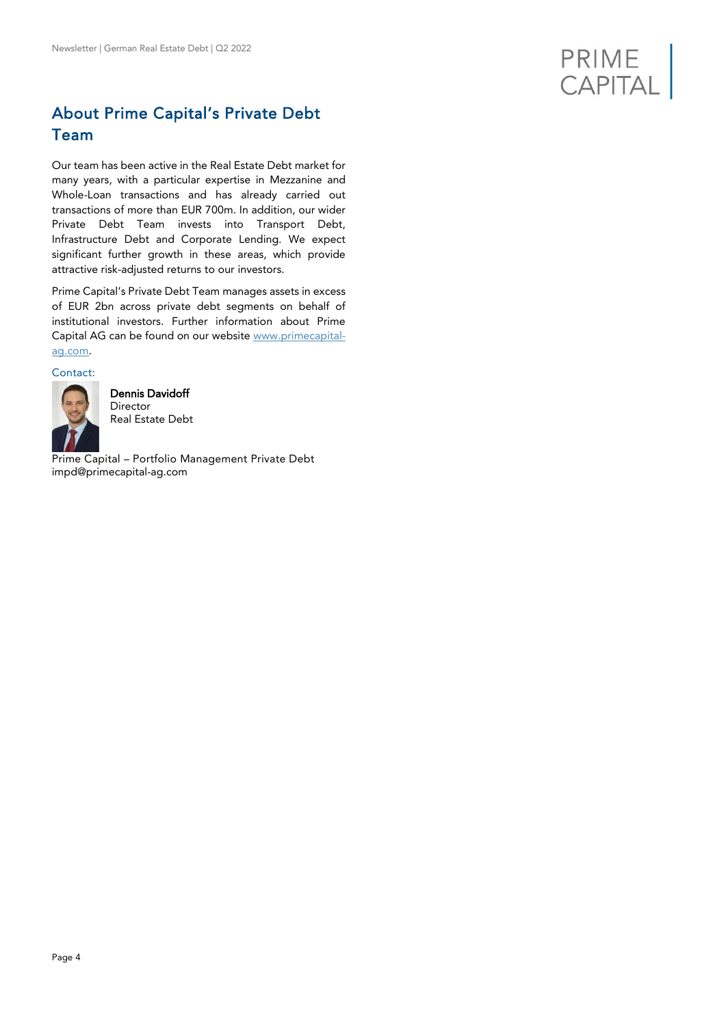

## About Prime Capital's Private Debt Team

Our team has been active in the Real Estate Debt market for many years, with a particular expertise in Mezzanine and Whole-Loan transactions and has already carried out transactions of more than EUR 700m. In addition, our wider Private Debt Team invests into Transport Debt, Infrastructure Debt and Corporate Lending. We expect significant further growth in these areas, which provide attractive risk-adjusted returns to our investors.

Prime Capital's Private Debt Team manages assets in excess of EUR 2bn across private debt segments on behalf of institutional investors. Further information about Prime Capital AG can be found on our website [www.primecapital](http://www.primecapital-ag.com/)[ag.com.](http://www.primecapital-ag.com/)

#### Contact:



Dennis Davidoff Director Real Estate Debt

Prime Capital – Portfolio Management Private Debt impd@primecapital-ag.com